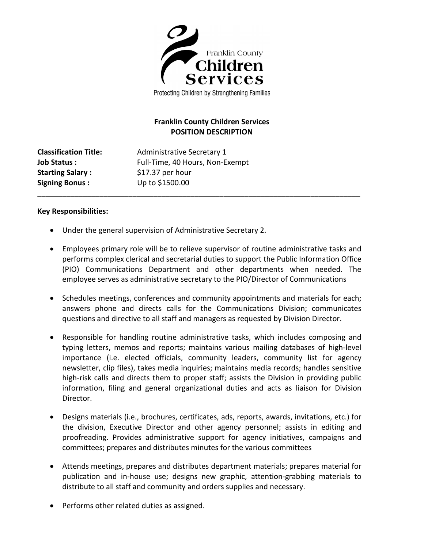

Protecting Children by Strengthening Families

## **Franklin County Children Services POSITION DESCRIPTION**

**Classification Title:** Administrative Secretary 1 **Starting Salary:** \$17.37 per hour **Signing Bonus:** Up to \$1500.00

**Job Status :** Full-Time, 40 Hours, Non-Exempt \_\_\_\_\_\_\_\_\_\_\_\_\_\_\_\_\_\_\_\_\_\_\_\_\_\_\_\_\_\_\_\_\_\_\_\_\_\_\_\_\_\_\_\_\_\_\_\_\_\_\_\_\_\_\_\_\_\_\_\_\_\_\_\_\_\_\_\_\_\_\_\_\_\_\_\_\_\_

### **Key Responsibilities:**

- Under the general supervision of Administrative Secretary 2.
- Employees primary role will be to relieve supervisor of routine administrative tasks and performs complex clerical and secretarial duties to support the Public Information Office (PIO) Communications Department and other departments when needed. The employee serves as administrative secretary to the PIO/Director of Communications
- Schedules meetings, conferences and community appointments and materials for each; answers phone and directs calls for the Communications Division; communicates questions and directive to all staff and managers as requested by Division Director.
- Responsible for handling routine administrative tasks, which includes composing and typing letters, memos and reports; maintains various mailing databases of high-level importance (i.e. elected officials, community leaders, community list for agency newsletter, clip files), takes media inquiries; maintains media records; handles sensitive high-risk calls and directs them to proper staff; assists the Division in providing public information, filing and general organizational duties and acts as liaison for Division Director.
- Designs materials (i.e., brochures, certificates, ads, reports, awards, invitations, etc.) for the division, Executive Director and other agency personnel; assists in editing and proofreading. Provides administrative support for agency initiatives, campaigns and committees; prepares and distributes minutes for the various committees
- Attends meetings, prepares and distributes department materials; prepares material for publication and in-house use; designs new graphic, attention-grabbing materials to distribute to all staff and community and orders supplies and necessary.
- Performs other related duties as assigned.